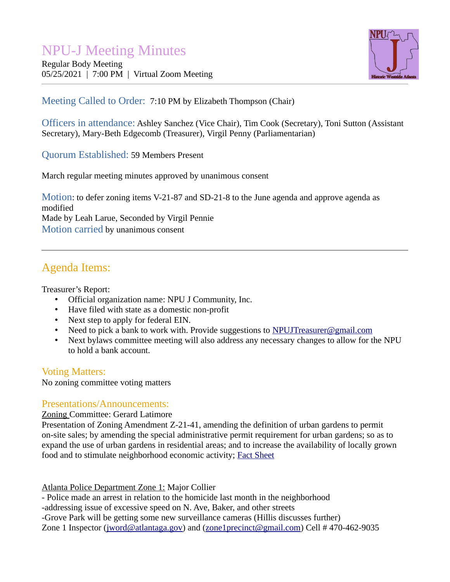# NPU-J Meeting Minutes

Regular Body Meeting 05/25/2021 | 7:00 PM | Virtual Zoom Meeting



# Meeting Called to Order: 7:10 PM by Elizabeth Thompson (Chair)

Officers in attendance: Ashley Sanchez (Vice Chair), Tim Cook (Secretary), Toni Sutton (Assistant Secretary), Mary-Beth Edgecomb (Treasurer), Virgil Penny (Parliamentarian)

Quorum Established: 59 Members Present

March regular meeting minutes approved by unanimous consent

Motion: to defer zoning items V-21-87 and SD-21-8 to the June agenda and approve agenda as modified Made by Leah Larue, Seconded by Virgil Pennie Motion carried by unanimous consent

# Agenda Items:

Treasurer's Report:

- Official organization name: NPU J Community, Inc.
- Have filed with state as a domestic non-profit
- Next step to apply for federal EIN.
- Need to pick a bank to work with. Provide suggestions to **NPUJT**reasurer@gmail.com
- Next bylaws committee meeting will also address any necessary changes to allow for the NPU to hold a bank account.

## Voting Matters:

No zoning committee voting matters

## Presentations/Announcements:

Zoning Committee: Gerard Latimore

Presentation of Zoning Amendment Z-21-41, amending the definition of urban gardens to permit on-site sales; by amending the special administrative permit requirement for urban gardens; so as to expand the use of urban gardens in residential areas; and to increase the availability of locally grown food and to stimulate neighborhood economic activity; [Fact Sheet](https://drive.google.com/file/d/1CSJJOTB5syDzI2EdlUMq9I_Ywes4dzbc/view)

Atlanta Police Department Zone 1: Major Collier

- Police made an arrest in relation to the homicide last month in the neighborhood

-addressing issue of excessive speed on N. Ave, Baker, and other streets

-Grove Park will be getting some new surveillance cameras (Hillis discusses further)

Zone 1 Inspector [\(jword@atlantaga.gov](mailto:jword@atlantaga.gov)) and ([zone1precinct@gmail.com](mailto:zone1precinct@gmail.com)) Cell # 470-462-9035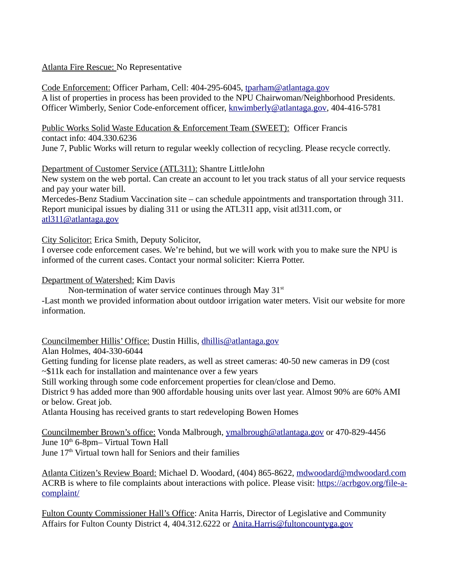#### Atlanta Fire Rescue: No Representative

Code Enforcement: Officer Parham, Cell: 404-295-6045, [tparham@atlantaga.gov](mailto:tparham@atlantaga.gov) A list of properties in process has been provided to the NPU Chairwoman/Neighborhood Presidents. Officer Wimberly, Senior Code-enforcement officer, [knwimberly@atlantaga.gov,](mailto:knwimberly@atlantaga.gov) 404-416-5781

Public Works Solid Waste Education & Enforcement Team (SWEET): Officer Francis contact info: 404.330.6236

June 7, Public Works will return to regular weekly collection of recycling. Please recycle correctly.

#### Department of Customer Service (ATL311): Shantre LittleJohn

New system on the web portal. Can create an account to let you track status of all your service requests and pay your water bill.

Mercedes-Benz Stadium Vaccination site – can schedule appointments and transportation through 311. Report municipal issues by dialing 311 or using the ATL311 app, visit atl311.com, or [atl311@atlantaga.gov](mailto:atl311@atlantaga.gov)

City Solicitor: Erica Smith, Deputy Solicitor,

I oversee code enforcement cases. We're behind, but we will work with you to make sure the NPU is informed of the current cases. Contact your normal soliciter: Kierra Potter.

#### Department of Watershed: Kim Davis

Non-termination of water service continues through May  $31<sup>st</sup>$ 

-Last month we provided information about outdoor irrigation water meters. Visit our website for more information.

Councilmember Hillis' Office: Dustin Hillis, [dhillis@atlantaga.gov](mailto:dhillis@atlantaga.gov)

Alan Holmes, 404-330-6044

Getting funding for license plate readers, as well as street cameras: 40-50 new cameras in D9 (cost  $\sim$ \$11k each for installation and maintenance over a few years

Still working through some code enforcement properties for clean/close and Demo.

District 9 has added more than 900 affordable housing units over last year. Almost 90% are 60% AMI or below. Great job.

Atlanta Housing has received grants to start redeveloping Bowen Homes

Councilmember Brown's office: Vonda Malbrough, [ymalbrough@atlantaga.gov](mailto:ymalbrough@atlantaga.gov) or 470-829-4456 June 10<sup>th</sup> 6-8pm– Virtual Town Hall June 17<sup>th</sup> Virtual town hall for Seniors and their families

Atlanta Citizen's Review Board: Michael D. Woodard, (404) 865-8622, [mdwoodard@mdwoodard.com](mailto:mdwoodard@mdwoodard.com) ACRB is where to file complaints about interactions with police. Please visit: [https://acrbgov.org/file-a](https://acrbgov.org/file-a-complaint/)[complaint/](https://acrbgov.org/file-a-complaint/)

Fulton County Commissioner Hall's Office: Anita Harris, Director of Legislative and Community Affairs for Fulton County District 4, 404.312.6222 or [Anita.Harris@fultoncountyga.gov](mailto:Anita.Harris@fultoncountyga.gov)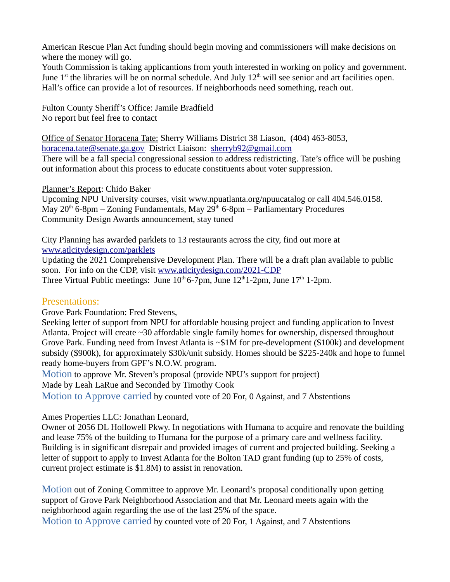American Rescue Plan Act funding should begin moving and commissioners will make decisions on where the money will go.

Youth Commission is taking applicantions from youth interested in working on policy and government. June  $1<sup>st</sup>$  the libraries will be on normal schedule. And July  $12<sup>th</sup>$  will see senior and art facilities open. Hall's office can provide a lot of resources. If neighborhoods need something, reach out.

Fulton County Sheriff's Office: Jamile Bradfield No report but feel free to contact

Office of Senator Horacena Tate: Sherry Williams District 38 Liason, (404) 463-8053, [horacena.tate@senate.ga.gov](mailto:horacena.tate@senate.ga.gov) District Liaison: [sherryb92@gmail.com](mailto:sherryb92@gmail.com) There will be a fall special congressional session to address redistricting. Tate's office will be pushing out information about this process to educate constituents about voter suppression.

Planner's Report: Chido Baker

Upcoming NPU University courses, visit www.npuatlanta.org/npuucatalog or call 404.546.0158. May  $20<sup>th</sup>$  6-8pm – Zoning Fundamentals, May  $29<sup>th</sup>$  6-8pm – Parliamentary Procedures Community Design Awards announcement, stay tuned

City Planning has awarded parklets to 13 restaurants across the city, find out more at [www.atlcitydesign.com/parklets](http://www.atlcitydesign.com/parklets)

Updating the 2021 Comprehensive Development Plan. There will be a draft plan available to public soon. For info on the CDP, visit [www.atlcitydesign.com/2021-CDP](http://www.atlcitydesign.com/2021-CDP) Three Virtual Public meetings: June  $10<sup>th</sup> 6-7$ pm, June  $12<sup>th</sup> 1-2$ pm, June  $17<sup>th</sup> 1-2$ pm.

#### Presentations:

Grove Park Foundation: Fred Stevens,

Seeking letter of support from NPU for affordable housing project and funding application to Invest Atlanta. Project will create ~30 affordable single family homes for ownership, dispersed throughout Grove Park. Funding need from Invest Atlanta is ~\$1M for pre-development (\$100k) and development subsidy (\$900k), for approximately \$30k/unit subsidy. Homes should be \$225-240k and hope to funnel ready home-buyers from GPF's N.O.W. program.

Motion to approve Mr. Steven's proposal (provide NPU's support for project) Made by Leah LaRue and Seconded by Timothy Cook Motion to Approve carried by counted vote of 20 For, 0 Against, and 7 Abstentions

#### Ames Properties LLC: Jonathan Leonard,

Owner of 2056 DL Hollowell Pkwy. In negotiations with Humana to acquire and renovate the building and lease 75% of the building to Humana for the purpose of a primary care and wellness facility. Building is in significant disrepair and provided images of current and projected building. Seeking a letter of support to apply to Invest Atlanta for the Bolton TAD grant funding (up to 25% of costs, current project estimate is \$1.8M) to assist in renovation.

Motion out of Zoning Committee to approve Mr. Leonard's proposal conditionally upon getting support of Grove Park Neighborhood Association and that Mr. Leonard meets again with the neighborhood again regarding the use of the last 25% of the space.

Motion to Approve carried by counted vote of 20 For, 1 Against, and 7 Abstentions